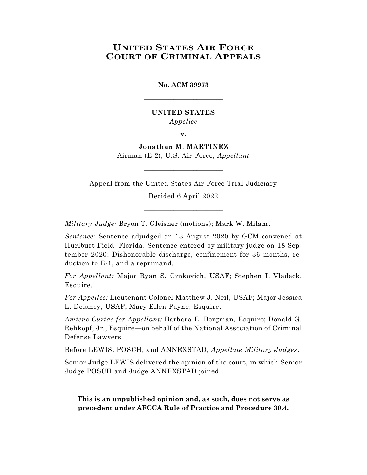# **UNITED STATES AIR FORCE COURT OF CRIMINAL APPEALS**

\_\_\_\_\_\_\_\_\_\_\_\_\_\_\_\_\_\_\_\_\_\_\_\_

**No. ACM 39973** \_\_\_\_\_\_\_\_\_\_\_\_\_\_\_\_\_\_\_\_\_\_\_\_

# **UNITED STATES** *Appellee*

**v.**

**Jonathan M. MARTINEZ** Airman (E-2), U.S. Air Force, *Appellant*

\_\_\_\_\_\_\_\_\_\_\_\_\_\_\_\_\_\_\_\_\_\_\_\_

Appeal from the United States Air Force Trial Judiciary

Decided 6 April 2022

\_\_\_\_\_\_\_\_\_\_\_\_\_\_\_\_\_\_\_\_\_\_\_\_

*Military Judge:* Bryon T. Gleisner (motions); Mark W. Milam.

*Sentence:* Sentence adjudged on 13 August 2020 by GCM convened at Hurlburt Field, Florida. Sentence entered by military judge on 18 September 2020: Dishonorable discharge, confinement for 36 months, reduction to E-1, and a reprimand.

*For Appellant:* Major Ryan S. Crnkovich, USAF; Stephen I. Vladeck, Esquire.

*For Appellee:* Lieutenant Colonel Matthew J. Neil, USAF; Major Jessica L. Delaney, USAF; Mary Ellen Payne, Esquire.

*Amicus Curiae for Appellant:* Barbara E. Bergman, Esquire; Donald G. Rehkopf, Jr., Esquire—on behalf of the National Association of Criminal Defense Lawyers.

Before LEWIS, POSCH, and ANNEXSTAD, *Appellate Military Judges*.

Senior Judge LEWIS delivered the opinion of the court, in which Senior Judge POSCH and Judge ANNEXSTAD joined.

\_\_\_\_\_\_\_\_\_\_\_\_\_\_\_\_\_\_\_\_\_\_\_\_

**This is an unpublished opinion and, as such, does not serve as precedent under AFCCA Rule of Practice and Procedure 30.4.**

**\_\_\_\_\_\_\_\_\_\_\_\_\_\_\_\_\_\_\_\_\_\_\_\_**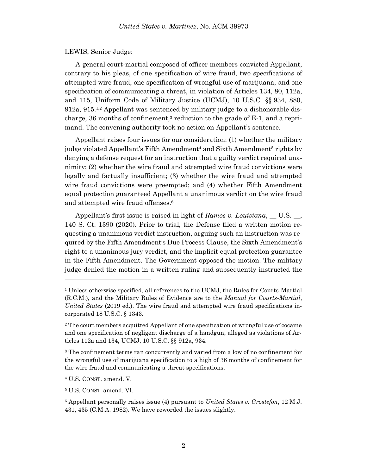#### LEWIS, Senior Judge:

A general court-martial composed of officer members convicted Appellant, contrary to his pleas, of one specification of wire fraud, two specifications of attempted wire fraud, one specification of wrongful use of marijuana, and one specification of communicating a threat, in violation of Articles 134, 80, 112a, and 115, Uniform Code of Military Justice (UCMJ), 10 U.S.C. §§ 934, 880, 912a, 915.<sup>1,2</sup> Appellant was sentenced by military judge to a dishonorable discharge,  $36$  months of confinement,<sup>3</sup> reduction to the grade of E-1, and a reprimand. The convening authority took no action on Appellant's sentence.

Appellant raises four issues for our consideration: (1) whether the military judge violated Appellant's Fifth Amendment<sup>4</sup> and Sixth Amendment<sup>5</sup> rights by denying a defense request for an instruction that a guilty verdict required unanimity; (2) whether the wire fraud and attempted wire fraud convictions were legally and factually insufficient; (3) whether the wire fraud and attempted wire fraud convictions were preempted; and (4) whether Fifth Amendment equal protection guaranteed Appellant a unanimous verdict on the wire fraud and attempted wire fraud offenses.<sup>6</sup>

Appellant's first issue is raised in light of *Ramos v. Louisiana*, \_\_ U.S. \_\_, 140 S. Ct. 1390 (2020). Prior to trial, the Defense filed a written motion requesting a unanimous verdict instruction, arguing such an instruction was required by the Fifth Amendment's Due Process Clause, the Sixth Amendment's right to a unanimous jury verdict, and the implicit equal protection guarantee in the Fifth Amendment. The Government opposed the motion. The military judge denied the motion in a written ruling and subsequently instructed the

<sup>&</sup>lt;sup>1</sup> Unless otherwise specified, all references to the UCMJ, the Rules for Courts-Martial (R.C.M.), and the Military Rules of Evidence are to the *Manual for Courts-Martial*, *United States* (2019 ed.). The wire fraud and attempted wire fraud specifications incorporated 18 U.S.C. § 1343.

<sup>2</sup> The court members acquitted Appellant of one specification of wrongful use of cocaine and one specification of negligent discharge of a handgun, alleged as violations of Articles 112a and 134, UCMJ, 10 U.S.C. §§ 912a, 934.

<sup>3</sup> The confinement terms ran concurrently and varied from a low of no confinement for the wrongful use of marijuana specification to a high of 36 months of confinement for the wire fraud and communicating a threat specifications.

<sup>4</sup> U.S. CONST. amend. V.

<sup>5</sup> U.S. CONST. amend. VI.

<sup>6</sup> Appellant personally raises issue (4) pursuant to *United States v. Grostefon*, 12 M.J. 431, 435 (C.M.A. 1982). We have reworded the issues slightly.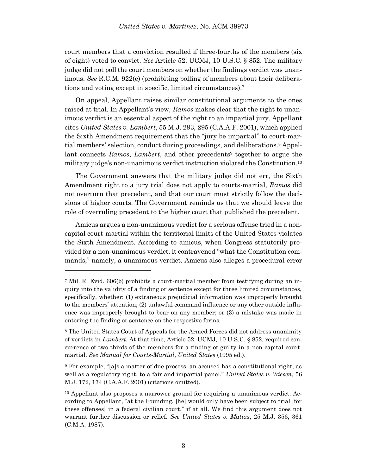court members that a conviction resulted if three-fourths of the members (six of eight) voted to convict. *See* Article 52, UCMJ, 10 U.S.C. § 852. The military judge did not poll the court members on whether the findings verdict was unanimous. *See* R.C.M. 922(e) (prohibiting polling of members about their deliberations and voting except in specific, limited circumstances). 7

On appeal, Appellant raises similar constitutional arguments to the ones raised at trial. In Appellant's view, *Ramos* makes clear that the right to unanimous verdict is an essential aspect of the right to an impartial jury. Appellant cites *United States v. Lambert*, 55 M.J. 293, 295 (C.A.A.F. 2001), which applied the Sixth Amendment requirement that the "jury be impartial" to court-martial members' selection, conduct during proceedings, and deliberations.<sup>8</sup> Appellant connects *Ramos*, *Lambert*, and other precedents<sup>9</sup> together to argue the military judge's non-unanimous verdict instruction violated the Constitution.<sup>10</sup>

The Government answers that the military judge did not err, the Sixth Amendment right to a jury trial does not apply to courts-martial, *Ramos* did not overturn that precedent, and that our court must strictly follow the decisions of higher courts. The Government reminds us that we should leave the role of overruling precedent to the higher court that published the precedent.

Amicus argues a non-unanimous verdict for a serious offense tried in a noncapital court-martial within the territorial limits of the United States violates the Sixth Amendment. According to amicus, when Congress statutorily provided for a non-unanimous verdict, it contravened "what the Constitution commands," namely, a unanimous verdict. Amicus also alleges a procedural error

<sup>7</sup> Mil. R. Evid. 606(b) prohibits a court-martial member from testifying during an inquiry into the validity of a finding or sentence except for three limited circumstances, specifically, whether: (1) extraneous prejudicial information was improperly brought to the members' attention; (2) unlawful command influence or any other outside influence was improperly brought to bear on any member; or (3) a mistake was made in entering the finding or sentence on the respective forms.

<sup>8</sup> The United States Court of Appeals for the Armed Forces did not address unanimity of verdicts in *Lambert*. At that time, Article 52, UCMJ, 10 U.S.C. § 852, required concurrence of two-thirds of the members for a finding of guilty in a non-capital courtmartial. *See Manual for Courts-Martial*, *United States* (1995 ed.).

<sup>9</sup> For example, "[a]s a matter of due process, an accused has a constitutional right, as well as a regulatory right, to a fair and impartial panel." *United States v. Wiesen*, 56 M.J. 172, 174 (C.A.A.F. 2001) (citations omitted).

<sup>10</sup> Appellant also proposes a narrower ground for requiring a unanimous verdict. According to Appellant, "at the Founding, [he] would only have been subject to trial [for these offenses] in a federal civilian court," if at all. We find this argument does not warrant further discussion or relief. *See United States v. Matias*, 25 M.J. 356, 361 (C.M.A. 1987).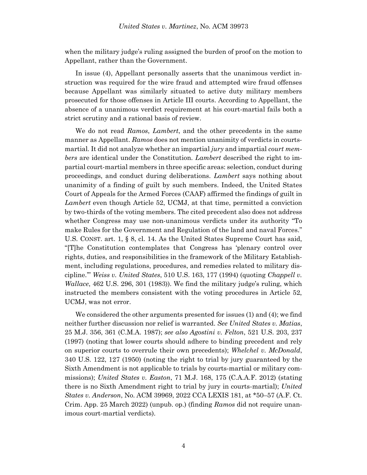when the military judge's ruling assigned the burden of proof on the motion to Appellant, rather than the Government.

In issue (4), Appellant personally asserts that the unanimous verdict instruction was required for the wire fraud and attempted wire fraud offenses because Appellant was similarly situated to active duty military members prosecuted for those offenses in Article III courts. According to Appellant, the absence of a unanimous verdict requirement at his court-martial fails both a strict scrutiny and a rational basis of review.

We do not read *Ramos*, *Lambert*, and the other precedents in the same manner as Appellant. *Ramos* does not mention unanimity of verdicts in courtsmartial. It did not analyze whether an impartial *jury* and impartial *court members* are identical under the Constitution. *Lambert* described the right to impartial court-martial members in three specific areas: selection, conduct during proceedings, and conduct during deliberations. *Lambert* says nothing about unanimity of a finding of guilt by such members. Indeed, the United States Court of Appeals for the Armed Forces (CAAF) affirmed the findings of guilt in *Lambert* even though Article 52, UCMJ, at that time, permitted a conviction by two-thirds of the voting members. The cited precedent also does not address whether Congress may use non-unanimous verdicts under its authority "To make Rules for the Government and Regulation of the land and naval Forces." U.S. CONST. art. 1, § 8, cl. 14. As the United States Supreme Court has said, "[T]he Constitution contemplates that Congress has 'plenary control over rights, duties, and responsibilities in the framework of the Military Establishment, including regulations, procedures, and remedies related to military discipline.'" *Weiss v. United States*, 510 U.S. 163, 177 (1994) (quoting *Chappell v. Wallace*, 462 U.S. 296, 301 (1983)). We find the military judge's ruling, which instructed the members consistent with the voting procedures in Article 52, UCMJ, was not error.

We considered the other arguments presented for issues (1) and (4); we find neither further discussion nor relief is warranted. *See United States v. Matias*, 25 M.J. 356, 361 (C.M.A. 1987); *see also Agostini v. Felton*, 521 U.S. 203, 237 (1997) (noting that lower courts should adhere to binding precedent and rely on superior courts to overrule their own precedents); *Whelchel v. McDonald*, 340 U.S. 122, 127 (1950) (noting the right to trial by jury guaranteed by the Sixth Amendment is not applicable to trials by courts-martial or military commissions); *United States v. Easton*, 71 M.J. 168, 175 (C.A.A.F. 2012) (stating there is no Sixth Amendment right to trial by jury in courts-martial); *United States v. Anderson*, No. ACM 39969, 2022 CCA LEXIS 181, at \*50–57 (A.F. Ct. Crim. App. 25 March 2022) (unpub. op.) (finding *Ramos* did not require unanimous court-martial verdicts).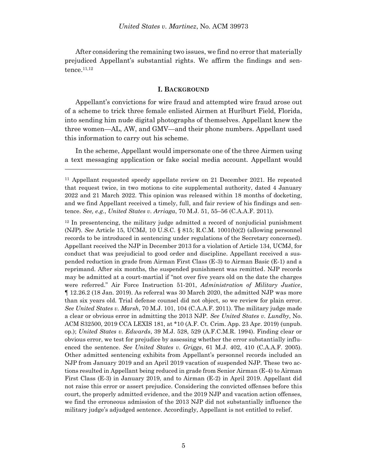After considering the remaining two issues, we find no error that materially prejudiced Appellant's substantial rights. We affirm the findings and sentence.11,12

### **I. BACKGROUND**

Appellant's convictions for wire fraud and attempted wire fraud arose out of a scheme to trick three female enlisted Airmen at Hurlburt Field, Florida, into sending him nude digital photographs of themselves. Appellant knew the three women—AL, AW, and GMV—and their phone numbers. Appellant used this information to carry out his scheme.

In the scheme, Appellant would impersonate one of the three Airmen using a text messaging application or fake social media account. Appellant would

l

<sup>12</sup> In presentencing, the military judge admitted a record of nonjudicial punishment (NJP). *See* Article 15, UCMJ, 10 U.S.C. § 815; R.C.M. 1001(b)(2) (allowing personnel records to be introduced in sentencing under regulations of the Secretary concerned). Appellant received the NJP in December 2013 for a violation of Article 134, UCMJ, for conduct that was prejudicial to good order and discipline. Appellant received a suspended reduction in grade from Airman First Class (E-3) to Airman Basic (E-1) and a reprimand. After six months, the suspended punishment was remitted. NJP records may be admitted at a court-martial if "not over five years old on the date the charges were referred." Air Force Instruction 51-201, *Administration of Military Justice*, ¶ 12.26.2 (18 Jan. 2019). As referral was 30 March 2020, the admitted NJP was more than six years old. Trial defense counsel did not object, so we review for plain error. *See United States v. Marsh*, 70 M.J. 101, 104 (C.A.A.F. 2011). The military judge made a clear or obvious error in admitting the 2013 NJP. *See United States v. Lundby*, No. ACM S32500, 2019 CCA LEXIS 181, at \*10 (A.F. Ct. Crim. App. 23 Apr. 2019) (unpub. op.); *United States v. Edwards*, 39 M.J. 528, 529 (A.F.C.M.R. 1994). Finding clear or obvious error, we test for prejudice by assessing whether the error substantially influenced the sentence. *See United States v. Griggs*, 61 M.J. 402, 410 (C.A.A.F. 2005). Other admitted sentencing exhibits from Appellant's personnel records included an NJP from January 2019 and an April 2019 vacation of suspended NJP. These two actions resulted in Appellant being reduced in grade from Senior Airman (E-4) to Airman First Class (E-3) in January 2019, and to Airman (E-2) in April 2019. Appellant did not raise this error or assert prejudice. Considering the convicted offenses before this court, the properly admitted evidence, and the 2019 NJP and vacation action offenses, we find the erroneous admission of the 2013 NJP did not substantially influence the military judge's adjudged sentence. Accordingly, Appellant is not entitled to relief.

<sup>11</sup> Appellant requested speedy appellate review on 21 December 2021. He repeated that request twice, in two motions to cite supplemental authority, dated 4 January 2022 and 21 March 2022. This opinion was released within 18 months of docketing, and we find Appellant received a timely, full, and fair review of his findings and sentence. *See, e.g.*, *United States v. Arriaga*, 70 M.J. 51, 55–56 (C.A.A.F. 2011).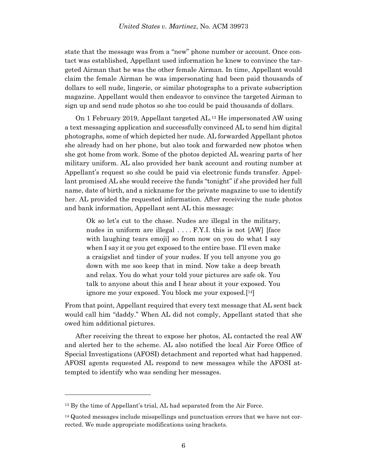state that the message was from a "new" phone number or account. Once contact was established, Appellant used information he knew to convince the targeted Airman that he was the other female Airman. In time, Appellant would claim the female Airman he was impersonating had been paid thousands of dollars to sell nude, lingerie, or similar photographs to a private subscription magazine. Appellant would then endeavor to convince the targeted Airman to sign up and send nude photos so she too could be paid thousands of dollars.

On 1 February 2019, Appellant targeted AL.<sup>13</sup> He impersonated AW using a text messaging application and successfully convinced AL to send him digital photographs, some of which depicted her nude. AL forwarded Appellant photos she already had on her phone, but also took and forwarded new photos when she got home from work. Some of the photos depicted AL wearing parts of her military uniform. AL also provided her bank account and routing number at Appellant's request so she could be paid via electronic funds transfer. Appellant promised AL she would receive the funds "tonight" if she provided her full name, date of birth, and a nickname for the private magazine to use to identify her. AL provided the requested information. After receiving the nude photos and bank information, Appellant sent AL this message:

Ok so let's cut to the chase. Nudes are illegal in the military, nudes in uniform are illegal . . . . F.Y.I. this is not [AW] [face with laughing tears emojil so from now on you do what I say when I say it or you get exposed to the entire base. I'll even make a craigslist and tinder of your nudes. If you tell anyone you go down with me soo keep that in mind. Now take a deep breath and relax. You do what your told your pictures are safe ok. You talk to anyone about this and I hear about it your exposed. You ignore me your exposed. You block me your exposed.[ <sup>14</sup>]

From that point, Appellant required that every text message that AL sent back would call him "daddy." When AL did not comply, Appellant stated that she owed him additional pictures.

After receiving the threat to expose her photos, AL contacted the real AW and alerted her to the scheme. AL also notified the local Air Force Office of Special Investigations (AFOSI) detachment and reported what had happened. AFOSI agents requested AL respond to new messages while the AFOSI attempted to identify who was sending her messages.

<sup>&</sup>lt;sup>13</sup> By the time of Appellant's trial, AL had separated from the Air Force.

<sup>14</sup> Quoted messages include misspellings and punctuation errors that we have not corrected. We made appropriate modifications using brackets.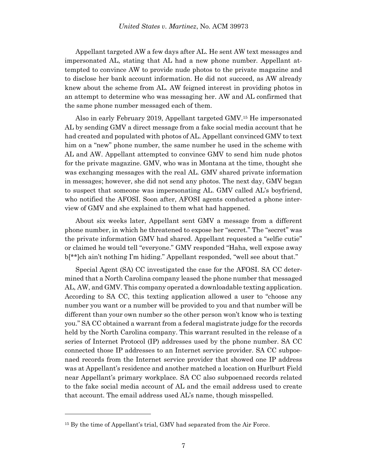Appellant targeted AW a few days after AL. He sent AW text messages and impersonated AL, stating that AL had a new phone number. Appellant attempted to convince AW to provide nude photos to the private magazine and to disclose her bank account information. He did not succeed, as AW already knew about the scheme from AL. AW feigned interest in providing photos in an attempt to determine who was messaging her. AW and AL confirmed that the same phone number messaged each of them.

Also in early February 2019, Appellant targeted GMV. <sup>15</sup> He impersonated AL by sending GMV a direct message from a fake social media account that he had created and populated with photos of AL. Appellant convinced GMV to text him on a "new" phone number, the same number he used in the scheme with AL and AW. Appellant attempted to convince GMV to send him nude photos for the private magazine. GMV, who was in Montana at the time, thought she was exchanging messages with the real AL. GMV shared private information in messages; however, she did not send any photos. The next day, GMV began to suspect that someone was impersonating AL. GMV called AL's boyfriend, who notified the AFOSI. Soon after, AFOSI agents conducted a phone interview of GMV and she explained to them what had happened.

About six weeks later, Appellant sent GMV a message from a different phone number, in which he threatened to expose her "secret." The "secret" was the private information GMV had shared. Appellant requested a "selfie cutie" or claimed he would tell "everyone." GMV responded "Haha, well expose away b[\*\*]ch ain't nothing I'm hiding." Appellant responded, "well see about that."

Special Agent (SA) CC investigated the case for the AFOSI. SA CC determined that a North Carolina company leased the phone number that messaged AL, AW, and GMV. This company operated a downloadable texting application. According to SA CC, this texting application allowed a user to "choose any number you want or a number will be provided to you and that number will be different than your own number so the other person won't know who is texting you." SA CC obtained a warrant from a federal magistrate judge for the records held by the North Carolina company. This warrant resulted in the release of a series of Internet Protocol (IP) addresses used by the phone number. SA CC connected those IP addresses to an Internet service provider. SA CC subpoenaed records from the Internet service provider that showed one IP address was at Appellant's residence and another matched a location on Hurlburt Field near Appellant's primary workplace. SA CC also subpoenaed records related to the fake social media account of AL and the email address used to create that account. The email address used AL's name, though misspelled.

<sup>&</sup>lt;sup>15</sup> By the time of Appellant's trial, GMV had separated from the Air Force.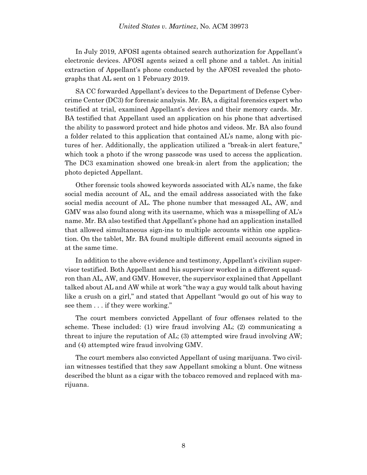In July 2019, AFOSI agents obtained search authorization for Appellant's electronic devices. AFOSI agents seized a cell phone and a tablet. An initial extraction of Appellant's phone conducted by the AFOSI revealed the photographs that AL sent on 1 February 2019.

SA CC forwarded Appellant's devices to the Department of Defense Cybercrime Center (DC3) for forensic analysis. Mr. BA, a digital forensics expert who testified at trial, examined Appellant's devices and their memory cards. Mr. BA testified that Appellant used an application on his phone that advertised the ability to password protect and hide photos and videos. Mr. BA also found a folder related to this application that contained AL's name, along with pictures of her. Additionally, the application utilized a "break-in alert feature," which took a photo if the wrong passcode was used to access the application. The DC3 examination showed one break-in alert from the application; the photo depicted Appellant.

Other forensic tools showed keywords associated with AL's name, the fake social media account of AL, and the email address associated with the fake social media account of AL. The phone number that messaged AL, AW, and GMV was also found along with its username, which was a misspelling of AL's name. Mr. BA also testified that Appellant's phone had an application installed that allowed simultaneous sign-ins to multiple accounts within one application. On the tablet, Mr. BA found multiple different email accounts signed in at the same time.

In addition to the above evidence and testimony, Appellant's civilian supervisor testified. Both Appellant and his supervisor worked in a different squadron than AL, AW, and GMV. However, the supervisor explained that Appellant talked about AL and AW while at work "the way a guy would talk about having like a crush on a girl," and stated that Appellant "would go out of his way to see them . . . if they were working."

The court members convicted Appellant of four offenses related to the scheme. These included: (1) wire fraud involving AL; (2) communicating a threat to injure the reputation of AL; (3) attempted wire fraud involving AW; and (4) attempted wire fraud involving GMV.

The court members also convicted Appellant of using marijuana. Two civilian witnesses testified that they saw Appellant smoking a blunt. One witness described the blunt as a cigar with the tobacco removed and replaced with marijuana.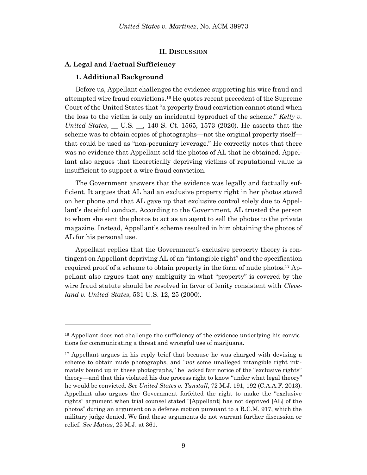### **II. DISCUSSION**

# **A. Legal and Factual Sufficiency**

#### **1. Additional Background**

l

Before us, Appellant challenges the evidence supporting his wire fraud and attempted wire fraud convictions.<sup>16</sup> He quotes recent precedent of the Supreme Court of the United States that "a property fraud conviction cannot stand when the loss to the victim is only an incidental byproduct of the scheme." *Kelly v. United States*, \_\_ U.S. \_\_, 140 S. Ct. 1565, 1573 (2020). He asserts that the scheme was to obtain copies of photographs—not the original property itself that could be used as "non-pecuniary leverage." He correctly notes that there was no evidence that Appellant sold the photos of AL that he obtained. Appellant also argues that theoretically depriving victims of reputational value is insufficient to support a wire fraud conviction.

The Government answers that the evidence was legally and factually sufficient. It argues that AL had an exclusive property right in her photos stored on her phone and that AL gave up that exclusive control solely due to Appellant's deceitful conduct. According to the Government, AL trusted the person to whom she sent the photos to act as an agent to sell the photos to the private magazine. Instead, Appellant's scheme resulted in him obtaining the photos of AL for his personal use.

Appellant replies that the Government's exclusive property theory is contingent on Appellant depriving AL of an "intangible right" and the specification required proof of a scheme to obtain property in the form of nude photos.<sup>17</sup> Appellant also argues that any ambiguity in what "property" is covered by the wire fraud statute should be resolved in favor of lenity consistent with *Cleveland v. United States*, 531 U.S. 12, 25 (2000).

<sup>&</sup>lt;sup>16</sup> Appellant does not challenge the sufficiency of the evidence underlying his convictions for communicating a threat and wrongful use of marijuana.

<sup>&</sup>lt;sup>17</sup> Appellant argues in his reply brief that because he was charged with devising a scheme to obtain nude photographs, and "*not* some unalleged intangible right intimately bound up in these photographs," he lacked fair notice of the "exclusive rights" theory—and that this violated his due process right to know "under what legal theory" he would be convicted. *See United States v. Tunstall*, 72 M.J. 191, 192 (C.A.A.F. 2013). Appellant also argues the Government forfeited the right to make the "exclusive rights" argument when trial counsel stated "[Appellant] has not deprived [AL] of the photos" during an argument on a defense motion pursuant to a R.C.M. 917, which the military judge denied. We find these arguments do not warrant further discussion or relief. *See Matias*, 25 M.J. at 361.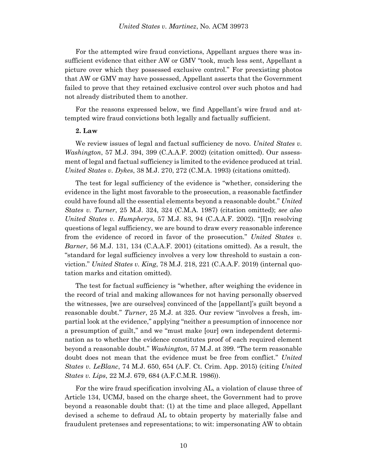For the attempted wire fraud convictions, Appellant argues there was insufficient evidence that either AW or GMV "took, much less sent, Appellant a picture over which they possessed exclusive control." For preexisting photos that AW or GMV may have possessed, Appellant asserts that the Government failed to prove that they retained exclusive control over such photos and had not already distributed them to another.

For the reasons expressed below, we find Appellant's wire fraud and attempted wire fraud convictions both legally and factually sufficient.

#### **2. Law**

We review issues of legal and factual sufficiency de novo. *United States v. Washington*, 57 M.J. 394, 399 (C.A.A.F. 2002) (citation omitted). Our assessment of legal and factual sufficiency is limited to the evidence produced at trial. *United States v. Dykes*, 38 M.J. 270, 272 (C.M.A. 1993) (citations omitted).

The test for legal sufficiency of the evidence is "whether, considering the evidence in the light most favorable to the prosecution, a reasonable factfinder could have found all the essential elements beyond a reasonable doubt." *United States v. Turner*, 25 M.J. 324, 324 (C.M.A. 1987) (citation omitted); *see also United States v. Humpherys*, 57 M.J. 83, 94 (C.A.A.F. 2002). "[I]n resolving questions of legal sufficiency, we are bound to draw every reasonable inference from the evidence of record in favor of the prosecution." *United States v. Barner*, 56 M.J. 131, 134 (C.A.A.F. 2001) (citations omitted). As a result, the "standard for legal sufficiency involves a very low threshold to sustain a conviction." *United States v. King*, 78 M.J. 218, 221 (C.A.A.F. 2019) (internal quotation marks and citation omitted).

The test for factual sufficiency is "whether, after weighing the evidence in the record of trial and making allowances for not having personally observed the witnesses, [we are ourselves] convinced of the [appellant]'s guilt beyond a reasonable doubt." *Turner*, 25 M.J. at 325. Our review "involves a fresh, impartial look at the evidence," applying "neither a presumption of innocence nor a presumption of guilt," and we "must make [our] own independent determination as to whether the evidence constitutes proof of each required element beyond a reasonable doubt." *Washington,* 57 M.J. at 399. "The term reasonable doubt does not mean that the evidence must be free from conflict." *United States v. LeBlanc*, 74 M.J. 650, 654 (A.F. Ct. Crim. App. 2015) (citing *United States v. Lips*, 22 M.J. 679, 684 (A.F.C.M.R. 1986)).

For the wire fraud specification involving AL, a violation of clause three of Article 134, UCMJ, based on the charge sheet, the Government had to prove beyond a reasonable doubt that: (1) at the time and place alleged, Appellant devised a scheme to defraud AL to obtain property by materially false and fraudulent pretenses and representations; to wit: impersonating AW to obtain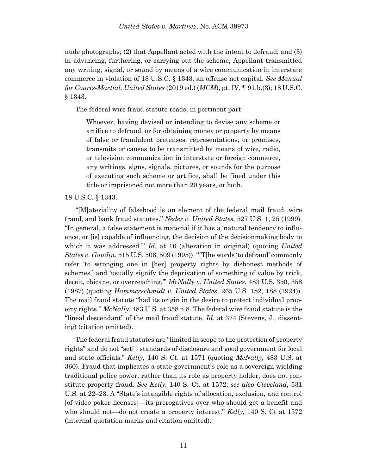nude photographs; (2) that Appellant acted with the intent to defraud; and (3) in advancing, furthering, or carrying out the scheme, Appellant transmitted any writing, signal, or sound by means of a wire communication in interstate commerce in violation of 18 U.S.C. § 1343, an offense not capital. *See Manual for Courts-Martial, United States* (2019 ed.) (*MCM*), pt. IV, ¶ 91.b.(3); 18 U.S.C. § 1343.

The federal wire fraud statute reads, in pertinent part:

Whoever, having devised or intending to devise any scheme or artifice to defraud, or for obtaining money or property by means of false or fraudulent pretenses, representations, or promises, transmits or causes to be transmitted by means of wire, radio, or television communication in interstate or foreign commerce, any writings, signs, signals, pictures, or sounds for the purpose of executing such scheme or artifice, shall be fined under this title or imprisoned not more than 20 years, or both.

# 18 U.S.C. § 1343.

"[M]ateriality of falsehood is an element of the federal mail fraud, wire fraud, and bank fraud statutes." *Neder v. United States*, 527 U.S. 1, 25 (1999). "In general, a false statement is material if it has a 'natural tendency to influence, or [is] capable of influencing, the decision of the decisionmaking body to which it was addressed." *Id.* at 16 (alteration in original) (quoting *United States v. Gaudin*, 515 U.S. 506, 509 (1995)). "[T]he words 'to defraud' commonly refer 'to wronging one in [her] property rights by dishonest methods of schemes,' and 'usually signify the deprivation of something of value by trick, deceit, chicane, or overreaching.'" *McNally v. United States*, 483 U.S. 350, 358 (1987) (quoting *Hammerschmidt v. United States*, 265 U.S. 182, 188 (1924)). The mail fraud statute "had its origin in the desire to protect individual property rights." *McNally*, 483 U.S. at 358 n.8. The federal wire fraud statute is the "lineal descendant" of the mail fraud statute. *Id*. at 374 (Stevens, J., dissenting) (citation omitted).

The federal fraud statutes are "limited in scope to the protection of property rights" and do not "set[ ] standards of disclosure and good government for local and state officials." *Kelly*, 140 S. Ct. at 1571 (quoting *McNally*, 483 U.S. at 360). Fraud that implicates a state government's role as a sovereign wielding traditional police power, rather than its role as property holder, does not constitute property fraud. *See Kelly*, 140 S. Ct. at 1572; *see also Cleveland*, 531 U.S. at 22–23. A "State's intangible rights of allocation, exclusion, and control [of video poker licenses]—its prerogatives over who should get a benefit and who should not—do not create a property interest." *Kelly*, 140 S. Ct at 1572 (internal quotation marks and citation omitted).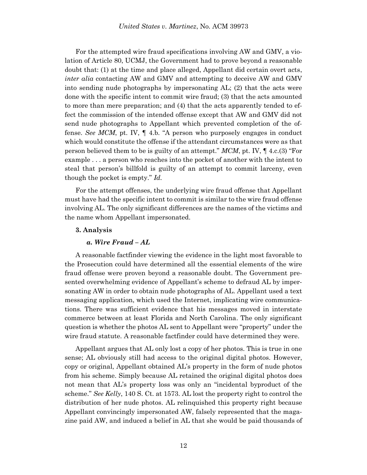For the attempted wire fraud specifications involving AW and GMV, a violation of Article 80, UCMJ, the Government had to prove beyond a reasonable doubt that: (1) at the time and place alleged, Appellant did certain overt acts, *inter alia* contacting AW and GMV and attempting to deceive AW and GMV into sending nude photographs by impersonating AL; (2) that the acts were done with the specific intent to commit wire fraud; (3) that the acts amounted to more than mere preparation; and (4) that the acts apparently tended to effect the commission of the intended offense except that AW and GMV did not send nude photographs to Appellant which prevented completion of the offense. *See MCM*, pt. IV, ¶ 4.b. "A person who purposely engages in conduct which would constitute the offense if the attendant circumstances were as that person believed them to be is guilty of an attempt." *MCM*, pt. IV, ¶ 4.c.(3) "For example . . . a person who reaches into the pocket of another with the intent to steal that person's billfold is guilty of an attempt to commit larceny, even though the pocket is empty." *Id.*

For the attempt offenses, the underlying wire fraud offense that Appellant must have had the specific intent to commit is similar to the wire fraud offense involving AL. The only significant differences are the names of the victims and the name whom Appellant impersonated.

#### **3. Analysis**

#### *a. Wire Fraud – AL*

A reasonable factfinder viewing the evidence in the light most favorable to the Prosecution could have determined all the essential elements of the wire fraud offense were proven beyond a reasonable doubt. The Government presented overwhelming evidence of Appellant's scheme to defraud AL by impersonating AW in order to obtain nude photographs of AL. Appellant used a text messaging application, which used the Internet, implicating wire communications. There was sufficient evidence that his messages moved in interstate commerce between at least Florida and North Carolina. The only significant question is whether the photos AL sent to Appellant were "property" under the wire fraud statute. A reasonable factfinder could have determined they were.

Appellant argues that AL only lost a copy of her photos. This is true in one sense; AL obviously still had access to the original digital photos. However, copy or original, Appellant obtained AL's property in the form of nude photos from his scheme. Simply because AL retained the original digital photos does not mean that AL's property loss was only an "incidental byproduct of the scheme." *See Kelly*, 140 S. Ct. at 1573. AL lost the property right to control the distribution of her nude photos. AL relinquished this property right because Appellant convincingly impersonated AW, falsely represented that the magazine paid AW, and induced a belief in AL that she would be paid thousands of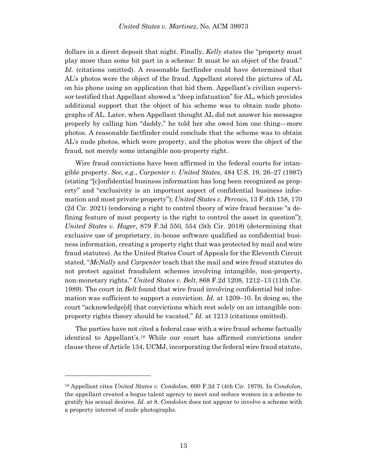dollars in a direct deposit that night. Finally, *Kelly* states the "property must play more than some bit part in a scheme: It must be an object of the fraud." *Id*. (citations omitted). A reasonable factfinder could have determined that AL's photos were the object of the fraud. Appellant stored the pictures of AL on his phone using an application that hid them. Appellant's civilian supervisor testified that Appellant showed a "deep infatuation" for AL, which provides additional support that the object of his scheme was to obtain nude photographs of AL. Later, when Appellant thought AL did not answer his messages properly by calling him "daddy," he told her she owed him one thing—more photos. A reasonable factfinder could conclude that the scheme was to obtain AL's nude photos, which were property, and the photos were the object of the fraud, not merely some intangible non-property right.

Wire fraud convictions have been affirmed in the federal courts for intangible property. *See, e.g.*, *Carpenter v. United States*, 484 U.S. 19, 26–27 (1987) (stating "[c]onfidential business information has long been recognized as property" and "exclusivity is an important aspect of confidential business information and most private property"); *United States v. Percoco*, 13 F.4th 158, 170 (2d Cir. 2021) (endorsing a right to control theory of wire fraud because "a defining feature of most property is the right to control the asset in question"); *United States v. Hager*, 879 F.3d 550, 554 (5th Cir. 2018) (determining that exclusive use of proprietary, in-house software qualified as confidential business information, creating a property right that was protected by mail and wire fraud statutes). As the United States Court of Appeals for the Eleventh Circuit stated, "*McNally* and *Carpenter* teach that the mail and wire fraud statutes do not protect against fraudulent schemes involving intangible, non-property, non-monetary rights." *United States v. Belt*, 868 F.2d 1208, 1212–13 (11th Cir. 1989). The court in *Belt* found that wire fraud involving confidential bid information was sufficient to support a conviction. *Id.* at 1209–10. In doing so, the court "acknowledge[d] that convictions which rest solely on an intangible nonproperty rights theory should be vacated." *Id.* at 1213 (citations omitted).

The parties have not cited a federal case with a wire fraud scheme factually identical to Appellant's. <sup>18</sup> While our court has affirmed convictions under clause three of Article 134, UCMJ, incorporating the federal wire fraud statute,

<sup>18</sup> Appellant cites *United States v. Condolon*, 600 F.2d 7 (4th Cir. 1979). In *Condolon*, the appellant created a bogus talent agency to meet and seduce women in a scheme to gratify his sexual desires. *Id.* at 8. *Condolon* does not appear to involve a scheme with a property interest of nude photographs.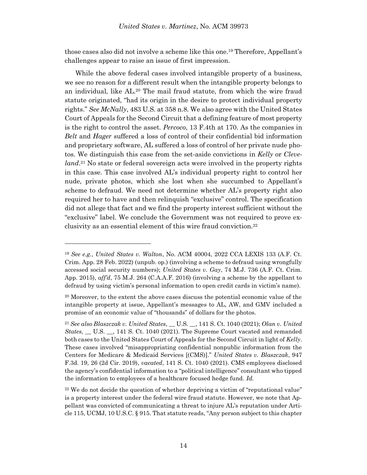those cases also did not involve a scheme like this one. <sup>19</sup> Therefore, Appellant's challenges appear to raise an issue of first impression.

While the above federal cases involved intangible property of a business, we see no reason for a different result when the intangible property belongs to an individual, like AL.<sup>20</sup> The mail fraud statute, from which the wire fraud statute originated, "had its origin in the desire to protect individual property rights." *See McNally*, 483 U.S. at 358 n.8. We also agree with the United States Court of Appeals for the Second Circuit that a defining feature of most property is the right to control the asset. *Percoco*, 13 F.4th at 170. As the companies in *Belt* and *Hager* suffered a loss of control of their confidential bid information and proprietary software, AL suffered a loss of control of her private nude photos. We distinguish this case from the set-aside convictions in *Kelly* or *Cleveland*. <sup>21</sup> No state or federal sovereign acts were involved in the property rights in this case. This case involved AL's individual property right to control her nude, private photos, which she lost when she succumbed to Appellant's scheme to defraud. We need not determine whether AL's property right also required her to have and then relinquish "exclusive" control. The specification did not allege that fact and we find the property interest sufficient without the "exclusive" label. We conclude the Government was not required to prove exclusivity as an essential element of this wire fraud conviction.<sup>22</sup>

<sup>19</sup> *See e.g.*, *United States v. Walton*, No. ACM 40004, 2022 CCA LEXIS 133 (A.F. Ct. Crim. App. 28 Feb. 2022) (unpub. op.) (involving a scheme to defraud using wrongfully accessed social security numbers); *United States v. Gay*, 74 M.J. 736 (A.F. Ct. Crim. App. 2015), *aff'd*, 75 M.J. 264 (C.A.A.F. 2016) (involving a scheme by the appellant to defraud by using victim's personal information to open credit cards in victim's name).

<sup>&</sup>lt;sup>20</sup> Moreover, to the extent the above cases discuss the potential economic value of the intangible property at issue, Appellant's messages to AL, AW, and GMV included a promise of an economic value of "thousands" of dollars for the photos.

<sup>21</sup> *See also Blaszczak v. United States*, \_\_ U.S. \_\_, 141 S. Ct. 1040 (2021); *Olan v. United States*, \_\_ U.S. \_\_, 141 S. Ct. 1040 (2021). The Supreme Court vacated and remanded both cases to the United States Court of Appeals for the Second Circuit in light of *Kelly*. These cases involved "misappropriating confidential nonpublic information from the Centers for Medicare & Medicaid Services [(CMS)]." *United States v. Blaszczak*, 947 F.3d. 19, 26 (2d Cir. 2019), *vacated*, 141 S. Ct. 1040 (2021). CMS employees disclosed the agency's confidential information to a "political intelligence" consultant who tipped the information to employees of a healthcare focused hedge fund. *Id.*

 $22$  We do not decide the question of whether depriving a victim of "reputational value" is a property interest under the federal wire fraud statute. However, we note that Appellant was convicted of communicating a threat to injure AL's reputation under Article 115, UCMJ, 10 U.S.C. § 915. That statute reads, "Any person subject to this chapter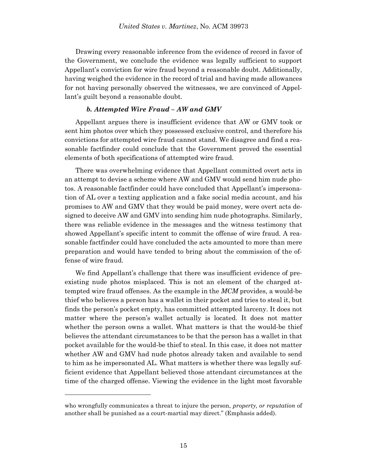Drawing every reasonable inference from the evidence of record in favor of the Government, we conclude the evidence was legally sufficient to support Appellant's conviction for wire fraud beyond a reasonable doubt. Additionally, having weighed the evidence in the record of trial and having made allowances for not having personally observed the witnesses, we are convinced of Appellant's guilt beyond a reasonable doubt.

# *b. Attempted Wire Fraud – AW and GMV*

Appellant argues there is insufficient evidence that AW or GMV took or sent him photos over which they possessed exclusive control, and therefore his convictions for attempted wire fraud cannot stand. We disagree and find a reasonable factfinder could conclude that the Government proved the essential elements of both specifications of attempted wire fraud.

There was overwhelming evidence that Appellant committed overt acts in an attempt to devise a scheme where AW and GMV would send him nude photos. A reasonable factfinder could have concluded that Appellant's impersonation of AL over a texting application and a fake social media account, and his promises to AW and GMV that they would be paid money, were overt acts designed to deceive AW and GMV into sending him nude photographs. Similarly, there was reliable evidence in the messages and the witness testimony that showed Appellant's specific intent to commit the offense of wire fraud. A reasonable factfinder could have concluded the acts amounted to more than mere preparation and would have tended to bring about the commission of the offense of wire fraud.

We find Appellant's challenge that there was insufficient evidence of preexisting nude photos misplaced. This is not an element of the charged attempted wire fraud offenses. As the example in the *MCM* provides, a would-be thief who believes a person has a wallet in their pocket and tries to steal it, but finds the person's pocket empty, has committed attempted larceny. It does not matter where the person's wallet actually is located. It does not matter whether the person owns a wallet. What matters is that the would-be thief believes the attendant circumstances to be that the person has a wallet in that pocket available for the would-be thief to steal. In this case, it does not matter whether AW and GMV had nude photos already taken and available to send to him as he impersonated AL. What matters is whether there was legally sufficient evidence that Appellant believed those attendant circumstances at the time of the charged offense. Viewing the evidence in the light most favorable

who wrongfully communicates a threat to injure the person, *property, or reputation* of another shall be punished as a court-martial may direct." (Emphasis added).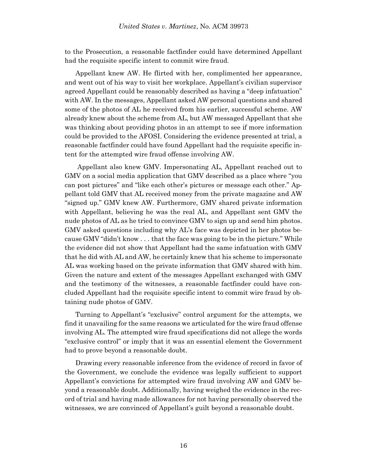to the Prosecution, a reasonable factfinder could have determined Appellant had the requisite specific intent to commit wire fraud.

Appellant knew AW. He flirted with her, complimented her appearance, and went out of his way to visit her workplace. Appellant's civilian supervisor agreed Appellant could be reasonably described as having a "deep infatuation" with AW. In the messages, Appellant asked AW personal questions and shared some of the photos of AL he received from his earlier, successful scheme. AW already knew about the scheme from AL, but AW messaged Appellant that she was thinking about providing photos in an attempt to see if more information could be provided to the AFOSI. Considering the evidence presented at trial, a reasonable factfinder could have found Appellant had the requisite specific intent for the attempted wire fraud offense involving AW.

Appellant also knew GMV. Impersonating AL, Appellant reached out to GMV on a social media application that GMV described as a place where "you can post pictures" and "like each other's pictures or message each other." Appellant told GMV that AL received money from the private magazine and AW "signed up." GMV knew AW. Furthermore, GMV shared private information with Appellant, believing he was the real AL, and Appellant sent GMV the nude photos of AL as he tried to convince GMV to sign up and send him photos. GMV asked questions including why AL's face was depicted in her photos because GMV "didn't know . . . that the face was going to be in the picture." While the evidence did not show that Appellant had the same infatuation with GMV that he did with AL and AW, he certainly knew that his scheme to impersonate AL was working based on the private information that GMV shared with him. Given the nature and extent of the messages Appellant exchanged with GMV and the testimony of the witnesses, a reasonable factfinder could have concluded Appellant had the requisite specific intent to commit wire fraud by obtaining nude photos of GMV.

Turning to Appellant's "exclusive" control argument for the attempts, we find it unavailing for the same reasons we articulated for the wire fraud offense involving AL. The attempted wire fraud specifications did not allege the words "exclusive control" or imply that it was an essential element the Government had to prove beyond a reasonable doubt.

Drawing every reasonable inference from the evidence of record in favor of the Government, we conclude the evidence was legally sufficient to support Appellant's convictions for attempted wire fraud involving AW and GMV beyond a reasonable doubt. Additionally, having weighed the evidence in the record of trial and having made allowances for not having personally observed the witnesses, we are convinced of Appellant's guilt beyond a reasonable doubt.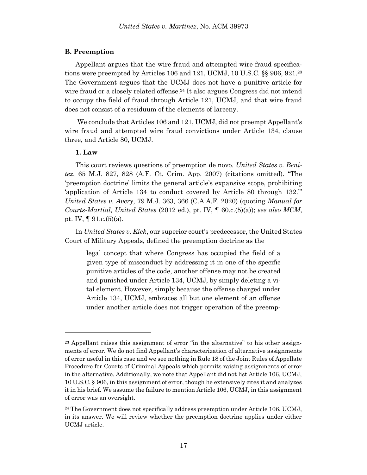# **B. Preemption**

Appellant argues that the wire fraud and attempted wire fraud specifications were preempted by Articles 106 and 121, UCMJ, 10 U.S.C. §§ 906, 921.<sup>23</sup> The Government argues that the UCMJ does not have a punitive article for wire fraud or a closely related offense.<sup>24</sup> It also argues Congress did not intend to occupy the field of fraud through Article 121, UCMJ, and that wire fraud does not consist of a residuum of the elements of larceny.

We conclude that Articles 106 and 121, UCMJ, did not preempt Appellant's wire fraud and attempted wire fraud convictions under Article 134, clause three, and Article 80, UCMJ.

# **1. Law**

l

This court reviews questions of preemption de novo. *United States v. Benitez*, 65 M.J. 827, 828 (A.F. Ct. Crim. App. 2007) (citations omitted). "The 'preemption doctrine' limits the general article's expansive scope, prohibiting 'application of Article 134 to conduct covered by Article 80 through 132.'" *United States v. Avery*, 79 M.J. 363, 366 (C.A.A.F. 2020) (quoting *Manual for Courts-Martial, United States* (2012 ed.), pt. IV, ¶ 60.c.(5)(a)); *see also MCM*, pt. IV,  $\P$  91.c.(5)(a).

In *United States v. Kick*, our superior court's predecessor, the United States Court of Military Appeals, defined the preemption doctrine as the

legal concept that where Congress has occupied the field of a given type of misconduct by addressing it in one of the specific punitive articles of the code, another offense may not be created and punished under Article 134, UCMJ, by simply deleting a vital element. However, simply because the offense charged under Article 134, UCMJ, embraces all but one element of an offense under another article does not trigger operation of the preemp-

<sup>23</sup> Appellant raises this assignment of error "in the alternative" to his other assignments of error. We do not find Appellant's characterization of alternative assignments of error useful in this case and we see nothing in Rule 18 of the Joint Rules of Appellate Procedure for Courts of Criminal Appeals which permits raising assignments of error in the alternative. Additionally, we note that Appellant did not list Article 106, UCMJ, 10 U.S.C. § 906, in this assignment of error, though he extensively cites it and analyzes it in his brief. We assume the failure to mention Article 106, UCMJ, in this assignment of error was an oversight.

<sup>&</sup>lt;sup>24</sup> The Government does not specifically address preemption under Article 106, UCMJ, in its answer. We will review whether the preemption doctrine applies under either UCMJ article.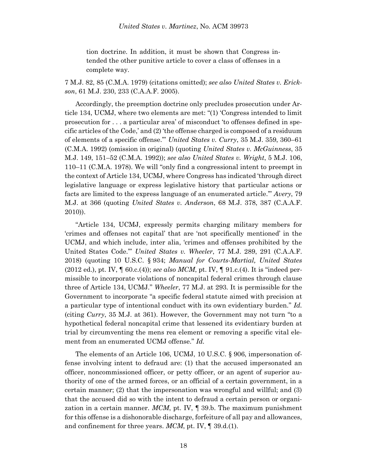tion doctrine. In addition, it must be shown that Congress intended the other punitive article to cover a class of offenses in a complete way.

7 M.J. 82, 85 (C.M.A. 1979) (citations omitted); *see also United States v. Erickson*, 61 M.J. 230, 233 (C.A.A.F. 2005).

Accordingly, the preemption doctrine only precludes prosecution under Article 134, UCMJ, where two elements are met: "(1) 'Congress intended to limit prosecution for . . . a particular area' of misconduct 'to offenses defined in specific articles of the Code,' and (2) 'the offense charged is composed of a residuum of elements of a specific offense.'" *United States v. Curry*, 35 M.J. 359, 360–61 (C.M.A. 1992) (omission in original) (quoting *United States v. McGuinness*, 35 M.J. 149, 151–52 (C.M.A. 1992)); *see also United States v. Wright*, 5 M.J. 106, 110–11 (C.M.A. 1978). We will "only find a congressional intent to preempt in the context of Article 134, UCMJ, where Congress has indicated 'through direct legislative language or express legislative history that particular actions or facts are limited to the express language of an enumerated article.'" *Avery*, 79 M.J. at 366 (quoting *United States v. Anderson*, 68 M.J. 378, 387 (C.A.A.F. 2010)).

"Article 134, UCMJ, expressly permits charging military members for 'crimes and offenses not capital' that are 'not specifically mentioned' in the UCMJ, and which include, inter alia, 'crimes and offenses prohibited by the United States Code.'" *United States v. Wheeler*, 77 M.J. 289, 291 (C.A.A.F. 2018) (quoting 10 U.S.C. § 934; *Manual for Courts-Martial, United States*  (2012 ed.), pt. IV, ¶ 60.c.(4)); *see also MCM*, pt. IV, ¶ 91.c.(4). It is "indeed permissible to incorporate violations of noncapital federal crimes through clause three of Article 134, UCMJ." *Wheeler*, 77 M.J. at 293. It is permissible for the Government to incorporate "a specific federal statute aimed with precision at a particular type of intentional conduct with its own evidentiary burden." *Id.* (citing *Curry*, 35 M.J. at 361). However, the Government may not turn "to a hypothetical federal noncapital crime that lessened its evidentiary burden at trial by circumventing the mens rea element or removing a specific vital element from an enumerated UCMJ offense." *Id.*

The elements of an Article 106, UCMJ, 10 U.S.C. § 906, impersonation offense involving intent to defraud are: (1) that the accused impersonated an officer, noncommissioned officer, or petty officer, or an agent of superior authority of one of the armed forces, or an official of a certain government, in a certain manner; (2) that the impersonation was wrongful and willful; and (3) that the accused did so with the intent to defraud a certain person or organization in a certain manner. *MCM*, pt. IV, ¶ 39.b. The maximum punishment for this offense is a dishonorable discharge, forfeiture of all pay and allowances, and confinement for three years. *MCM*, pt. IV, ¶ 39.d.(1).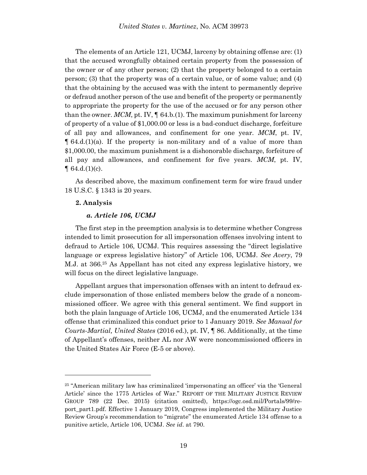The elements of an Article 121, UCMJ, larceny by obtaining offense are: (1) that the accused wrongfully obtained certain property from the possession of the owner or of any other person; (2) that the property belonged to a certain person; (3) that the property was of a certain value, or of some value; and (4) that the obtaining by the accused was with the intent to permanently deprive or defraud another person of the use and benefit of the property or permanently to appropriate the property for the use of the accused or for any person other than the owner.  $MCM$ , pt. IV,  $\parallel$  64.b.(1). The maximum punishment for larceny of property of a value of \$1,000.00 or less is a bad-conduct discharge, forfeiture of all pay and allowances, and confinement for one year. *MCM*, pt. IV,  $\parallel$  64.d.(1)(a). If the property is non-military and of a value of more than \$1,000.00, the maximum punishment is a dishonorable discharge, forfeiture of all pay and allowances, and confinement for five years. *MCM*, pt. IV,  $\P$  64.d. $(1)(c)$ .

As described above, the maximum confinement term for wire fraud under 18 U.S.C. § 1343 is 20 years.

# **2. Analysis**

l

### *a. Article 106, UCMJ*

The first step in the preemption analysis is to determine whether Congress intended to limit prosecution for all impersonation offenses involving intent to defraud to Article 106, UCMJ. This requires assessing the "direct legislative language or express legislative history" of Article 106, UCMJ. *See Avery*, 79 M.J. at 366.<sup>25</sup> As Appellant has not cited any express legislative history, we will focus on the direct legislative language.

Appellant argues that impersonation offenses with an intent to defraud exclude impersonation of those enlisted members below the grade of a noncommissioned officer. We agree with this general sentiment. We find support in both the plain language of Article 106, UCMJ, and the enumerated Article 134 offense that criminalized this conduct prior to 1 January 2019. *See Manual for Courts-Martial, United States* (2016 ed.), pt. IV, ¶ 86. Additionally, at the time of Appellant's offenses, neither AL nor AW were noncommissioned officers in the United States Air Force (E-5 or above).

<sup>25</sup> "American military law has criminalized 'impersonating an officer' via the 'General Article' since the 1775 Articles of War." REPORT OF THE MILITARY JUSTICE REVIEW GROUP 789 (22 Dec. 2015) (citation omitted), https://ogc.osd.mil/Portals/99/report\_part1.pdf. Effective 1 January 2019, Congress implemented the Military Justice Review Group's recommendation to "migrate" the enumerated Article 134 offense to a punitive article, Article 106, UCMJ. *See id*. at 790.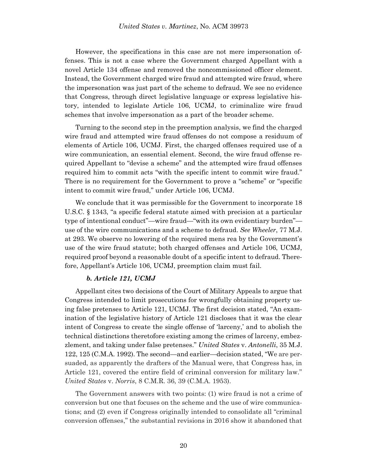However, the specifications in this case are not mere impersonation offenses. This is not a case where the Government charged Appellant with a novel Article 134 offense and removed the noncommissioned officer element. Instead, the Government charged wire fraud and attempted wire fraud, where the impersonation was just part of the scheme to defraud. We see no evidence that Congress, through direct legislative language or express legislative history, intended to legislate Article 106, UCMJ, to criminalize wire fraud schemes that involve impersonation as a part of the broader scheme.

Turning to the second step in the preemption analysis, we find the charged wire fraud and attempted wire fraud offenses do not compose a residuum of elements of Article 106, UCMJ. First, the charged offenses required use of a wire communication, an essential element. Second, the wire fraud offense required Appellant to "devise a scheme" and the attempted wire fraud offenses required him to commit acts "with the specific intent to commit wire fraud." There is no requirement for the Government to prove a "scheme" or "specific intent to commit wire fraud," under Article 106, UCMJ.

We conclude that it was permissible for the Government to incorporate 18 U.S.C. § 1343, "a specific federal statute aimed with precision at a particular type of intentional conduct"—wire fraud—"with its own evidentiary burden" use of the wire communications and a scheme to defraud. *See Wheeler*, 77 M.J. at 293. We observe no lowering of the required mens rea by the Government's use of the wire fraud statute; both charged offenses and Article 106, UCMJ, required proof beyond a reasonable doubt of a specific intent to defraud. Therefore, Appellant's Article 106, UCMJ, preemption claim must fail.

### *b. Article 121, UCMJ*

Appellant cites two decisions of the Court of Military Appeals to argue that Congress intended to limit prosecutions for wrongfully obtaining property using false pretenses to Article 121, UCMJ. The first decision stated, "An examination of the legislative history of Article 121 discloses that it was the clear intent of Congress to create the single offense of 'larceny,' and to abolish the technical distinctions theretofore existing among the crimes of larceny, embezzlement, and taking under false pretenses." *United States* v. *Antonelli*, 35 M.J. 122, 125 (C.M.A. 1992). The second—and earlier—decision stated, "We are persuaded, as apparently the drafters of the Manual were, that Congress has, in Article 121, covered the entire field of criminal conversion for military law." *United States* v. *Norris*, 8 C.M.R. 36, 39 (C.M.A. 1953).

The Government answers with two points: (1) wire fraud is not a crime of conversion but one that focuses on the scheme and the use of wire communications; and (2) even if Congress originally intended to consolidate all "criminal conversion offenses," the substantial revisions in 2016 show it abandoned that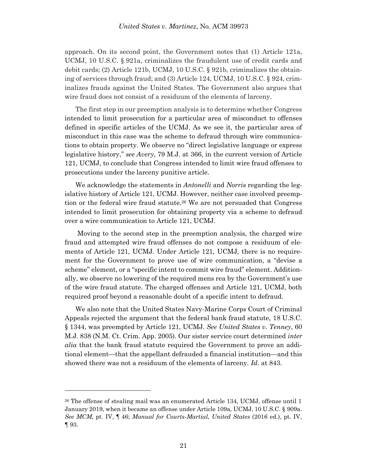approach. On its second point, the Government notes that (1) Article 121a, UCMJ, 10 U.S.C. § 921a, criminalizes the fraudulent use of credit cards and debit cards; (2) Article 121b, UCMJ, 10 U.S.C. § 921b, criminalizes the obtaining of services through fraud; and (3) Article 124, UCMJ, 10 U.S.C. § 924, criminalizes frauds against the United States. The Government also argues that wire fraud does not consist of a residuum of the elements of larceny.

The first step in our preemption analysis is to determine whether Congress intended to limit prosecution for a particular area of misconduct to offenses defined in specific articles of the UCMJ. As we see it, the particular area of misconduct in this case was the scheme to defraud through wire communications to obtain property. We observe no "direct legislative language or express legislative history," *see Avery*, 79 M.J. at 366, in the current version of Article 121, UCMJ, to conclude that Congress intended to limit wire fraud offenses to prosecutions under the larceny punitive article.

We acknowledge the statements in *Antonelli* and *Norris* regarding the legislative history of Article 121, UCMJ. However, neither case involved preemption or the federal wire fraud statute.<sup>26</sup> We are not persuaded that Congress intended to limit prosecution for obtaining property via a scheme to defraud over a wire communication to Article 121, UCMJ.

Moving to the second step in the preemption analysis, the charged wire fraud and attempted wire fraud offenses do not compose a residuum of elements of Article 121, UCMJ. Under Article 121, UCMJ, there is no requirement for the Government to prove use of wire communication, a "devise a scheme" element, or a "specific intent to commit wire fraud" element. Additionally, we observe no lowering of the required mens rea by the Government's use of the wire fraud statute. The charged offenses and Article 121, UCMJ, both required proof beyond a reasonable doubt of a specific intent to defraud.

We also note that the United States Navy-Marine Corps Court of Criminal Appeals rejected the argument that the federal bank fraud statute, 18 U.S.C. § 1344, was preempted by Article 121, UCMJ. *See United States v. Tenney*, 60 M.J. 838 (N.M. Ct. Crim. App. 2005). Our sister service court determined *inter alia* that the bank fraud statute required the Government to prove an additional element—that the appellant defrauded a financial institution—and this showed there was not a residuum of the elements of larceny. *Id*. at 843.

<sup>26</sup> The offense of stealing mail was an enumerated Article 134, UCMJ, offense until 1 January 2019, when it became an offense under Article 109a, UCMJ, 10 U.S.C. § 909a. *See MCM*, pt. IV, ¶ 46; *Manual for Courts-Martial, United States* (2016 ed.), pt. IV, ¶ 93.